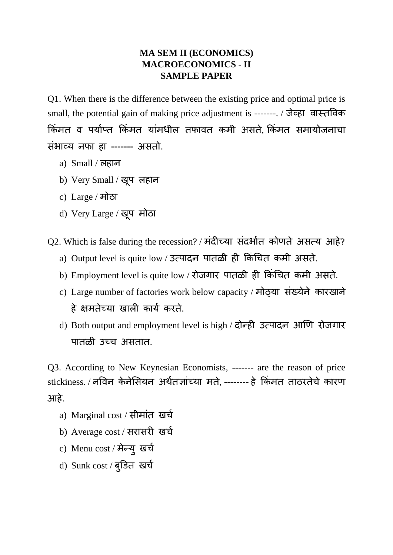## **MA SEM II (ECONOMICS) MACROECONOMICS - II SAMPLE PAPER**

Q1. When there is the difference between the existing price and optimal price is small, the potential gain of making price adjustment is -------. / जेव्हा वास्तववक किंमत व पर्याप्त किंमत यांमधील तफावत कमी असते, किंमत समायोजनाचा सिंभाव्र् नफा हा ------- असतो.

- a) Small / लहान
- b) Very Small / ख ू प लहान
- c) Large / मोठा
- d) Very Large / खप ू मोठा

Q2. Which is false during the recession? / मंदीच्या संदर्भात कोणते असत्य आहे?

- a) Output level is quite low / उत्पादन पातळी ही किंचित कमी असते.
- b) Employment level is quite low / रोजगार पातळी ही किंचित कमी असते.
- c) Large number of factories work below capacity / मोठ्या संख्येने कारखाने हे क्षमतेच्र्ा खाली कार्ा करते.
- d) Both output and employment level is high / दोन्ही उत्पादन आणण रोजगार पातळी उच्च असतात.

Q3. According to New Keynesian Economists, ------- are the reason of price stickiness. / नविन केनेसियन अर्थतज्ञांच्या मते, -------- हे किंमत ताठरतेचे कारण आहे.

- a) Marginal cost / सीमांत खर्च
- b) Average cost / सरासरी खर्च
- c) Menu cost / मेन्यु खर्च
- d) Sunk cost / बुडित खर्च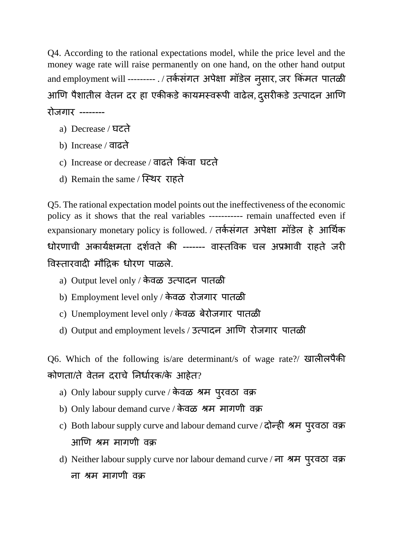Q4. According to the rational expectations model, while the price level and the money wage rate will raise permanently on one hand, on the other hand output and employment will --------- . / तर्कसंगत अपेक्षा मॉंडेल नुसार, जर किमत पातळी आणि पैशातील वेतन दर हा एकीकडे कायमस्वरूपी वाढेल, दुसरीकडे उत्पादन आणि रोजगार --------

- a) Decrease / घटते
- b) Increase / वाढते
- c) Increase or decrease / वाढते किंवा घटते
- d) Remain the same / स्स्र्र राहते

Q5. The rational expectation model points out the ineffectiveness of the economic policy as it shows that the real variables ----------- remain unaffected even if expansionary monetary policy is followed. / तर्कसंगत अपेक्षा मॉडेल हे आर्थिक धोरणाची अकार्ाक्षमता दशावते की ------- वास्तववक चल अप्रभावी राहते जरी विस्तारवादी मौद्रिक धोरण पाळले.

- a) Output level only / के वळ उत्पादन पातळी
- b) Employment level only / के वळ रोजगार पातळी
- c) Unemployment level only / के वळ बेरोजगार पातळी
- d) Output and employment levels / उत्पादन आणण रोजगार पातळी

Q6. Which of the following is/are determinant/s of wage rate?/ खालीलपैकी कोणता/ते वेतन दराचे ननधाारक/के आहेत?

- a) Only labour supply curve / केवळ श्रम परु वठा वक्र
- b) Only labour demand curve / के वळ श्रम मागणी वक्र
- c) Both labour supply curve and labour demand curve / दोन्ही श्रम परु वठा वक्र आणण श्रम मागणी वक्र
- d) Neither labour supply curve nor labour demand curve / ना श्रम परु वठा वक्र ना श्रम मागणी वक्र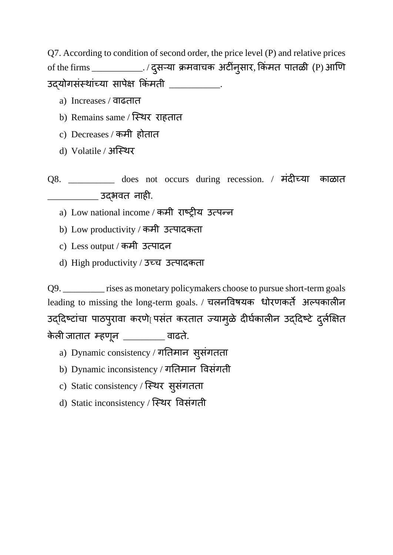Q7. According to condition of second order, the price level (P) and relative prices of the firms \_\_\_\_\_\_\_\_\_\_\_\_\_\_. / दुसऱ्या क्रमवाचक अटीनुसार, किमत पातळी (P) आणि उदयोगसंस्थांच्या सापेक्ष किंमती \_\_\_\_\_\_\_\_\_\_\_.

- a) Increases / वाढतात
- b) Remains same / स्स्र्र राहतात
- c) Decreases / कमी होतात
- d) Volatile / अस्स्र्र
- Q8. \_\_\_\_\_\_\_\_\_\_ does not occurs during recession. / मिंदीच्र्ा काळात \_\_\_\_\_\_\_\_\_\_\_ उद्भवत नाही.
	- a) Low national income / कमी राष्ट्रीर् उत्पन्न
	- b) Low productivity / कमी उत्पादकता
	- c) Less output / कमी उत्पादन
	- d) High productivity / उच्च उत्पादकता

Q9. \_\_\_\_\_\_\_\_\_ rises as monetary policymakers choose to pursue short-term goals leading to missing the long-term goals. / चलनववषर्क धोरणकते अल्पकालीन उद्दिष्टांचा पाठपुरावा करणे $\mid$ पसंत करतात ज्यामुळे दीर्घकालीन उद्दिष्टे दुर्लक्षित केली जातात म्हणून \_\_\_\_\_\_\_\_\_\_ वाढते.

- a) Dynamic consistency / गनतमान सुसिंगतता
- b) Dynamic inconsistency / गनतमान ववसिंगती
- c) Static consistency / स्स्र्र सुसिंगतता
- d) Static inconsistency / स्स्र्र ववसिंगती